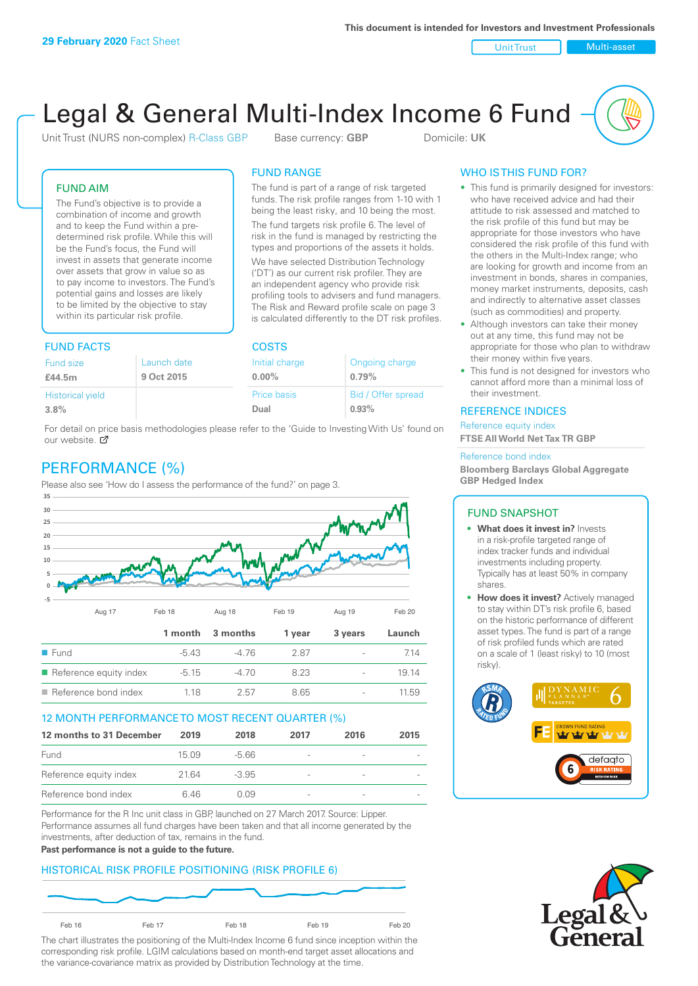Unit Trust Nulti-asset

# Legal & General Multi-Index Income 6 Fund

Unit Trust (NURS non-complex) R-Class GBP Base currency: **GBP** Domicile: UK

The fund is part of a range of risk targeted funds. The risk profile ranges from 1-10 with 1 being the least risky, and 10 being the most. The fund targets risk profile 6. The level of risk in the fund is managed by restricting the types and proportions of the assets it holds. We have selected Distribution Technology ('DT') as our current risk profiler. They are an independent agency who provide risk profiling tools to advisers and fund managers. The Risk and Reward profile scale on page 3 is calculated differently to the DT risk profiles.

FUND RANGE

### FUND AIM

The Fund's objective is to provide a combination of income and growth and to keep the Fund within a predetermined risk profile. While this will be the Fund's focus, the Fund will invest in assets that generate income over assets that grow in value so as to pay income to investors. The Fund's potential gains and losses are likely to be limited by the objective to stay within its particular risk profile.

# FUND FACTS COSTS

| <b>Fund size</b>        | Launch date | Initial charge | Ongoing charge     |  |  |
|-------------------------|-------------|----------------|--------------------|--|--|
| £44.5m                  | 9 Oct 2015  | $0.00\%$       | 0.79%              |  |  |
| <b>Historical yield</b> |             | Price basis    | Bid / Offer spread |  |  |
| 3.8%                    |             | Dual           | 0.93%              |  |  |

For detail on price basis methodologies please refer to the 'Guide to Investing With Us' found on our website. Ø

# PERFORMANCE (%)

Please also see 'How do I assess the performance of the fund?' on page 3.



### 12 MONTH PERFORMANCE TO MOST RECENT QUARTER (%)

| 12 months to 31 December | 2019  | 2018    | 2017                     | 2016 | 2015 |
|--------------------------|-------|---------|--------------------------|------|------|
| Fund                     | 15.09 | -5.66   | $\qquad \qquad$          |      |      |
| Reference equity index   | 2164  | $-3.95$ | $\overline{\phantom{a}}$ |      |      |
| Reference bond index     | 646   | O 0.9   | $\overline{\phantom{a}}$ |      |      |

Performance for the R Inc unit class in GBP, launched on 27 March 2017. Source: Lipper. Performance assumes all fund charges have been taken and that all income generated by the investments, after deduction of tax, remains in the fund.

#### **Past performance is not a guide to the future.**

### HISTORICAL RISK PROFILE POSITIONING (RISK PROFILE 6)



The chart illustrates the positioning of the Multi-Index Income 6 fund since inception within the corresponding risk profile. LGIM calculations based on month-end target asset allocations and the variance-covariance matrix as provided by Distribution Technology at the time.

## WHO IS THIS FUND FOR?

- This fund is primarily designed for investors: who have received advice and had their attitude to risk assessed and matched to the risk profile of this fund but may be appropriate for those investors who have considered the risk profile of this fund with the others in the Multi-Index range; who are looking for growth and income from an investment in bonds, shares in companies, money market instruments, deposits, cash and indirectly to alternative asset classes (such as commodities) and property.
- Although investors can take their money out at any time, this fund may not be appropriate for those who plan to withdraw their money within five years.
- This fund is not designed for investors who cannot afford more than a minimal loss of their investment.

### REFERENCE INDICES

Reference equity index **FTSE All World Net Tax TR GBP**

#### Reference bond index

**Bloomberg Barclays Global Aggregate GBP Hedged Index**

### FUND SNAPSHOT

- **• What does it invest in?** Invests in a risk-profile targeted range of index tracker funds and individual investments including property. Typically has at least 50% in company shares.
- **• How does it invest?** Actively managed to stay within DT's risk profile 6, based on the historic performance of different asset types. The fund is part of a range of risk profiled funds which are rated on a scale of 1 (least risky) to 10 (most risky).



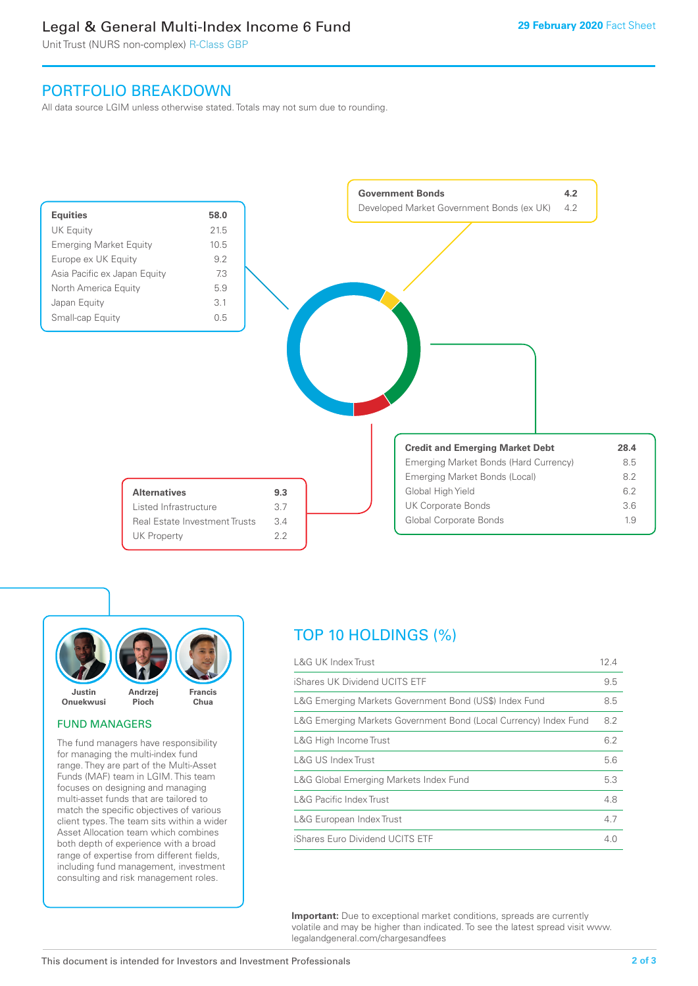# Legal & General Multi-Index Income 6 Fund

Unit Trust (NURS non-complex) R-Class GBP

# PORTFOLIO BREAKDOWN

All data source LGIM unless otherwise stated. Totals may not sum due to rounding.





### FUND MANAGERS

The fund managers have responsibility for managing the multi-index fund range. They are part of the Multi-Asset Funds (MAF) team in LGIM. This team focuses on designing and managing multi-asset funds that are tailored to match the specific objectives of various client types. The team sits within a wider Asset Allocation team which combines both depth of experience with a broad range of expertise from different fields, including fund management, investment consulting and risk management roles.

# TOP 10 HOLDINGS (%)

| <b>L&amp;G UK Index Trust</b>                                    | 12.4 |
|------------------------------------------------------------------|------|
| iShares UK Dividend UCITS ETF                                    | 9.5  |
| L&G Emerging Markets Government Bond (US\$) Index Fund           | 8.5  |
| L&G Emerging Markets Government Bond (Local Currency) Index Fund | 8.2  |
| L&G High Income Trust                                            | 6.2  |
| L&G US Index Trust                                               | 5.6  |
| L&G Global Emerging Markets Index Fund                           | 5.3  |
| <b>L&amp;G Pacific Index Trust</b>                               | 4.8  |
| L&G European Index Trust                                         | 4.7  |
| iShares Euro Dividend UCITS ETF                                  | 4.0  |

**Important:** Due to exceptional market conditions, spreads are currently volatile and may be higher than indicated. To see the latest spread visit www. legalandgeneral.com/chargesandfees